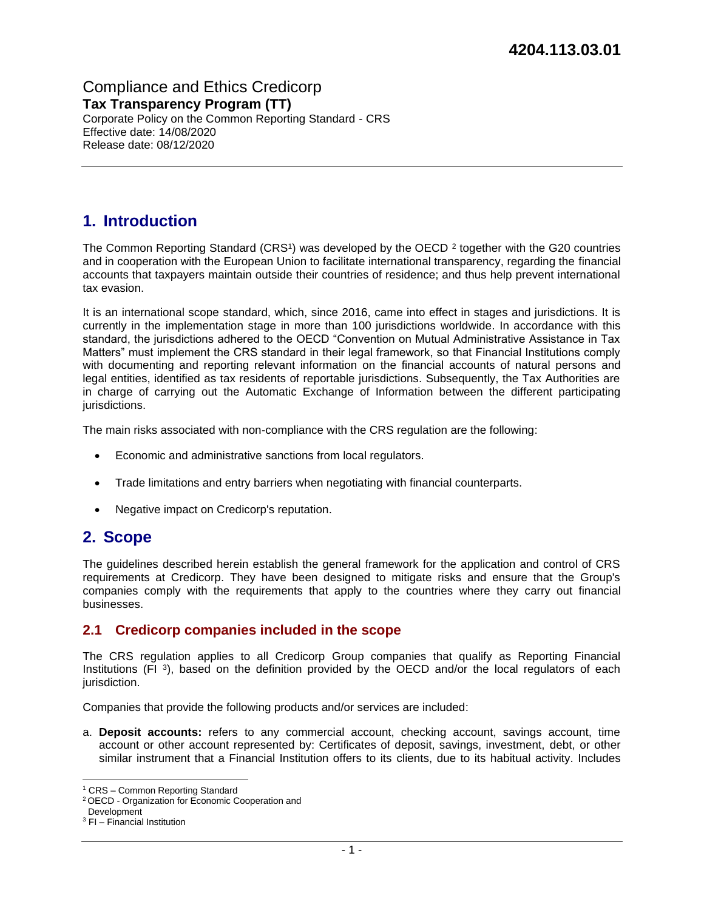Compliance and Ethics Credicorp **Tax Transparency Program (TT)**  Corporate Policy on the Common Reporting Standard - CRS Effective date: 14/08/2020 Release date: 08/12/2020

# **1. Introduction**

The Common Reporting Standard (CRS<sup>1</sup>) was developed by the OECD<sup>2</sup> together with the G20 countries and in cooperation with the European Union to facilitate international transparency, regarding the financial accounts that taxpayers maintain outside their countries of residence; and thus help prevent international tax evasion.

It is an international scope standard, which, since 2016, came into effect in stages and jurisdictions. It is currently in the implementation stage in more than 100 jurisdictions worldwide. In accordance with this standard, the jurisdictions adhered to the OECD "Convention on Mutual Administrative Assistance in Tax Matters" must implement the CRS standard in their legal framework, so that Financial Institutions comply with documenting and reporting relevant information on the financial accounts of natural persons and legal entities, identified as tax residents of reportable jurisdictions. Subsequently, the Tax Authorities are in charge of carrying out the Automatic Exchange of Information between the different participating jurisdictions.

The main risks associated with non-compliance with the CRS regulation are the following:

- Economic and administrative sanctions from local regulators.
- Trade limitations and entry barriers when negotiating with financial counterparts.
- Negative impact on Credicorp's reputation.

# **2. Scope**

The guidelines described herein establish the general framework for the application and control of CRS requirements at Credicorp. They have been designed to mitigate risks and ensure that the Group's companies comply with the requirements that apply to the countries where they carry out financial businesses.

### **2.1 Credicorp companies included in the scope**

The CRS regulation applies to all Credicorp Group companies that qualify as Reporting Financial Institutions (FI<sup>3</sup>), based on the definition provided by the OECD and/or the local regulators of each jurisdiction.

Companies that provide the following products and/or services are included:

a. **Deposit accounts:** refers to any commercial account, checking account, savings account, time account or other account represented by: Certificates of deposit, savings, investment, debt, or other similar instrument that a Financial Institution offers to its clients, due to its habitual activity. Includes

<sup>1</sup> CRS – Common Reporting Standard

<sup>2</sup> OECD - Organization for Economic Cooperation and

Development

<sup>3</sup> FI – Financial Institution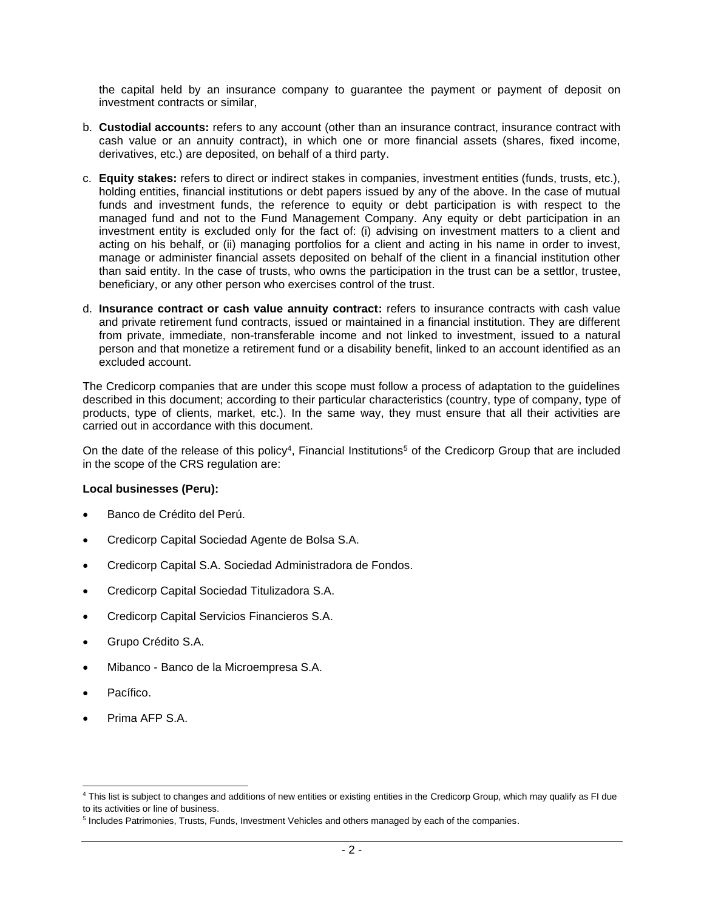the capital held by an insurance company to guarantee the payment or payment of deposit on investment contracts or similar,

- b. **Custodial accounts:** refers to any account (other than an insurance contract, insurance contract with cash value or an annuity contract), in which one or more financial assets (shares, fixed income, derivatives, etc.) are deposited, on behalf of a third party.
- c. **Equity stakes:** refers to direct or indirect stakes in companies, investment entities (funds, trusts, etc.), holding entities, financial institutions or debt papers issued by any of the above. In the case of mutual funds and investment funds, the reference to equity or debt participation is with respect to the managed fund and not to the Fund Management Company. Any equity or debt participation in an investment entity is excluded only for the fact of: (i) advising on investment matters to a client and acting on his behalf, or (ii) managing portfolios for a client and acting in his name in order to invest, manage or administer financial assets deposited on behalf of the client in a financial institution other than said entity. In the case of trusts, who owns the participation in the trust can be a settlor, trustee, beneficiary, or any other person who exercises control of the trust.
- d. **Insurance contract or cash value annuity contract:** refers to insurance contracts with cash value and private retirement fund contracts, issued or maintained in a financial institution. They are different from private, immediate, non-transferable income and not linked to investment, issued to a natural person and that monetize a retirement fund or a disability benefit, linked to an account identified as an excluded account.

The Credicorp companies that are under this scope must follow a process of adaptation to the guidelines described in this document; according to their particular characteristics (country, type of company, type of products, type of clients, market, etc.). In the same way, they must ensure that all their activities are carried out in accordance with this document.

On the date of the release of this policy<sup>4</sup>, Financial Institutions<sup>5</sup> of the Credicorp Group that are included in the scope of the CRS regulation are:

#### **Local businesses (Peru):**

- Banco de Crédito del Perú.
- Credicorp Capital Sociedad Agente de Bolsa S.A.
- Credicorp Capital S.A. Sociedad Administradora de Fondos.
- Credicorp Capital Sociedad Titulizadora S.A.
- Credicorp Capital Servicios Financieros S.A.
- Grupo Crédito S.A.
- Mibanco Banco de la Microempresa S.A.
- Pacífico.
- Prima AFP S.A.

<sup>4</sup> This list is subject to changes and additions of new entities or existing entities in the Credicorp Group, which may qualify as FI due to its activities or line of business.

<sup>&</sup>lt;sup>5</sup> Includes Patrimonies, Trusts, Funds, Investment Vehicles and others managed by each of the companies.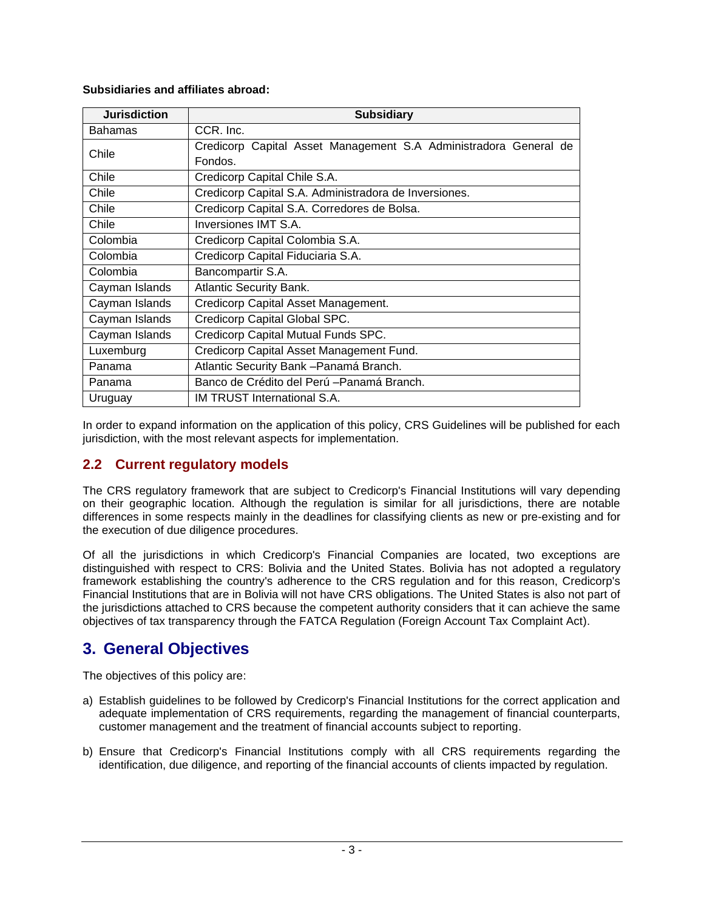### **Subsidiaries and affiliates abroad:**

| <b>Jurisdiction</b> | <b>Subsidiary</b>                                                |
|---------------------|------------------------------------------------------------------|
| <b>Bahamas</b>      | CCR. Inc.                                                        |
| Chile               | Credicorp Capital Asset Management S.A Administradora General de |
|                     | Fondos.                                                          |
| Chile               | Credicorp Capital Chile S.A.                                     |
| Chile               | Credicorp Capital S.A. Administradora de Inversiones.            |
| Chile               | Credicorp Capital S.A. Corredores de Bolsa.                      |
| Chile               | Inversiones IMT S.A.                                             |
| Colombia            | Credicorp Capital Colombia S.A.                                  |
| Colombia            | Credicorp Capital Fiduciaria S.A.                                |
| Colombia            | Bancompartir S.A.                                                |
| Cayman Islands      | <b>Atlantic Security Bank.</b>                                   |
| Cayman Islands      | Credicorp Capital Asset Management.                              |
| Cayman Islands      | Credicorp Capital Global SPC.                                    |
| Cayman Islands      | Credicorp Capital Mutual Funds SPC.                              |
| Luxemburg           | Credicorp Capital Asset Management Fund.                         |
| Panama              | Atlantic Security Bank - Panamá Branch.                          |
| Panama              | Banco de Crédito del Perú - Panamá Branch.                       |
| Uruguay             | <b>IM TRUST International S.A.</b>                               |

In order to expand information on the application of this policy, CRS Guidelines will be published for each jurisdiction, with the most relevant aspects for implementation.

## **2.2 Current regulatory models**

The CRS regulatory framework that are subject to Credicorp's Financial Institutions will vary depending on their geographic location. Although the regulation is similar for all jurisdictions, there are notable differences in some respects mainly in the deadlines for classifying clients as new or pre-existing and for the execution of due diligence procedures.

Of all the jurisdictions in which Credicorp's Financial Companies are located, two exceptions are distinguished with respect to CRS: Bolivia and the United States. Bolivia has not adopted a regulatory framework establishing the country's adherence to the CRS regulation and for this reason, Credicorp's Financial Institutions that are in Bolivia will not have CRS obligations. The United States is also not part of the jurisdictions attached to CRS because the competent authority considers that it can achieve the same objectives of tax transparency through the FATCA Regulation (Foreign Account Tax Complaint Act).

# **3. General Objectives**

The objectives of this policy are:

- a) Establish guidelines to be followed by Credicorp's Financial Institutions for the correct application and adequate implementation of CRS requirements, regarding the management of financial counterparts, customer management and the treatment of financial accounts subject to reporting.
- b) Ensure that Credicorp's Financial Institutions comply with all CRS requirements regarding the identification, due diligence, and reporting of the financial accounts of clients impacted by regulation.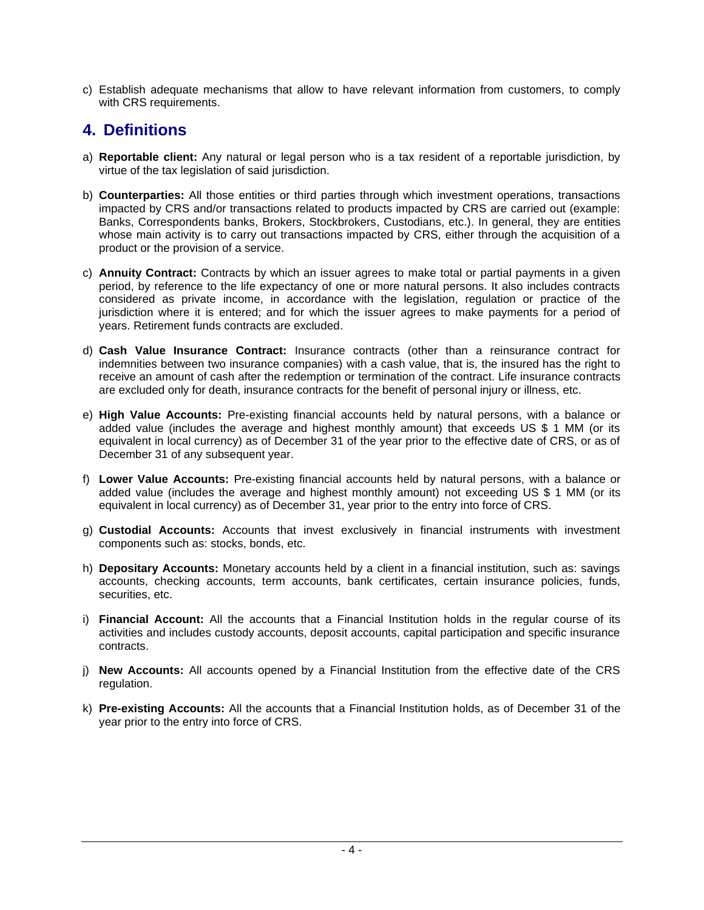c) Establish adequate mechanisms that allow to have relevant information from customers, to comply with CRS requirements.

# **4. Definitions**

- a) **Reportable client:** Any natural or legal person who is a tax resident of a reportable jurisdiction, by virtue of the tax legislation of said jurisdiction.
- b) **Counterparties:** All those entities or third parties through which investment operations, transactions impacted by CRS and/or transactions related to products impacted by CRS are carried out (example: Banks, Correspondents banks, Brokers, Stockbrokers, Custodians, etc.). In general, they are entities whose main activity is to carry out transactions impacted by CRS, either through the acquisition of a product or the provision of a service.
- c) **Annuity Contract:** Contracts by which an issuer agrees to make total or partial payments in a given period, by reference to the life expectancy of one or more natural persons. It also includes contracts considered as private income, in accordance with the legislation, regulation or practice of the jurisdiction where it is entered; and for which the issuer agrees to make payments for a period of years. Retirement funds contracts are excluded.
- d) **Cash Value Insurance Contract:** Insurance contracts (other than a reinsurance contract for indemnities between two insurance companies) with a cash value, that is, the insured has the right to receive an amount of cash after the redemption or termination of the contract. Life insurance contracts are excluded only for death, insurance contracts for the benefit of personal injury or illness, etc.
- e) **High Value Accounts:** Pre-existing financial accounts held by natural persons, with a balance or added value (includes the average and highest monthly amount) that exceeds US \$ 1 MM (or its equivalent in local currency) as of December 31 of the year prior to the effective date of CRS, or as of December 31 of any subsequent year.
- f) **Lower Value Accounts:** Pre-existing financial accounts held by natural persons, with a balance or added value (includes the average and highest monthly amount) not exceeding US \$ 1 MM (or its equivalent in local currency) as of December 31, year prior to the entry into force of CRS.
- g) **Custodial Accounts:** Accounts that invest exclusively in financial instruments with investment components such as: stocks, bonds, etc.
- h) **Depositary Accounts:** Monetary accounts held by a client in a financial institution, such as: savings accounts, checking accounts, term accounts, bank certificates, certain insurance policies, funds, securities, etc.
- i) **Financial Account:** All the accounts that a Financial Institution holds in the regular course of its activities and includes custody accounts, deposit accounts, capital participation and specific insurance contracts.
- j) **New Accounts:** All accounts opened by a Financial Institution from the effective date of the CRS regulation.
- k) **Pre-existing Accounts:** All the accounts that a Financial Institution holds, as of December 31 of the year prior to the entry into force of CRS.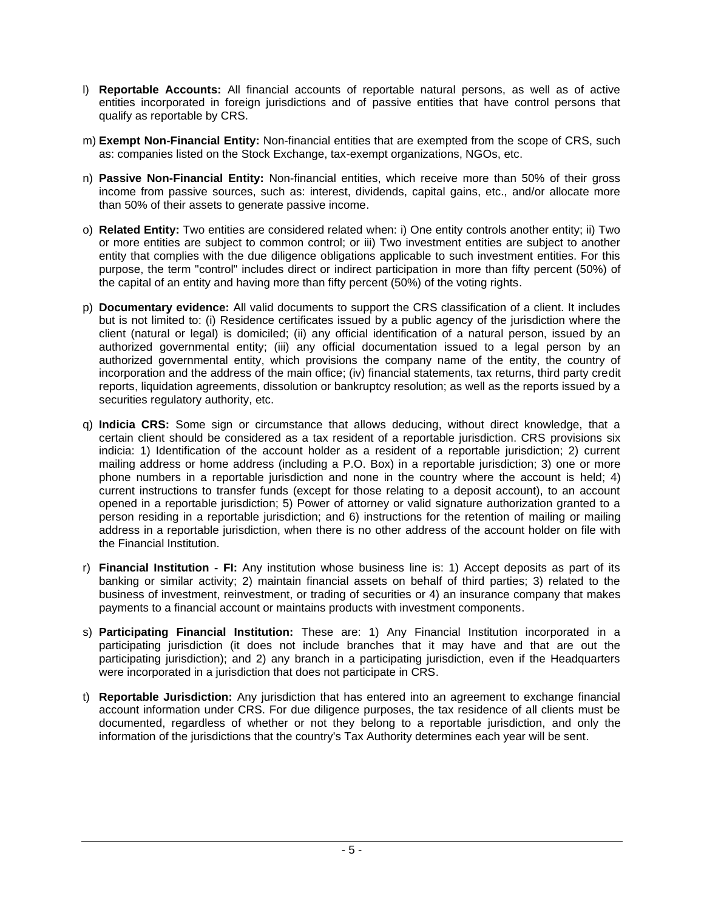- l) **Reportable Accounts:** All financial accounts of reportable natural persons, as well as of active entities incorporated in foreign jurisdictions and of passive entities that have control persons that qualify as reportable by CRS.
- m) **Exempt Non-Financial Entity:** Non-financial entities that are exempted from the scope of CRS, such as: companies listed on the Stock Exchange, tax-exempt organizations, NGOs, etc.
- n) **Passive Non-Financial Entity:** Non-financial entities, which receive more than 50% of their gross income from passive sources, such as: interest, dividends, capital gains, etc., and/or allocate more than 50% of their assets to generate passive income.
- o) **Related Entity:** Two entities are considered related when: i) One entity controls another entity; ii) Two or more entities are subject to common control; or iii) Two investment entities are subject to another entity that complies with the due diligence obligations applicable to such investment entities. For this purpose, the term "control" includes direct or indirect participation in more than fifty percent (50%) of the capital of an entity and having more than fifty percent (50%) of the voting rights.
- p) **Documentary evidence:** All valid documents to support the CRS classification of a client. It includes but is not limited to: (i) Residence certificates issued by a public agency of the jurisdiction where the client (natural or legal) is domiciled; (ii) any official identification of a natural person, issued by an authorized governmental entity; (iii) any official documentation issued to a legal person by an authorized governmental entity, which provisions the company name of the entity, the country of incorporation and the address of the main office; (iv) financial statements, tax returns, third party credit reports, liquidation agreements, dissolution or bankruptcy resolution; as well as the reports issued by a securities regulatory authority, etc.
- q) **Indicia CRS:** Some sign or circumstance that allows deducing, without direct knowledge, that a certain client should be considered as a tax resident of a reportable jurisdiction. CRS provisions six indicia: 1) Identification of the account holder as a resident of a reportable jurisdiction; 2) current mailing address or home address (including a P.O. Box) in a reportable jurisdiction; 3) one or more phone numbers in a reportable jurisdiction and none in the country where the account is held; 4) current instructions to transfer funds (except for those relating to a deposit account), to an account opened in a reportable jurisdiction; 5) Power of attorney or valid signature authorization granted to a person residing in a reportable jurisdiction; and 6) instructions for the retention of mailing or mailing address in a reportable jurisdiction, when there is no other address of the account holder on file with the Financial Institution.
- r) **Financial Institution - FI:** Any institution whose business line is: 1) Accept deposits as part of its banking or similar activity; 2) maintain financial assets on behalf of third parties; 3) related to the business of investment, reinvestment, or trading of securities or 4) an insurance company that makes payments to a financial account or maintains products with investment components.
- s) **Participating Financial Institution:** These are: 1) Any Financial Institution incorporated in a participating jurisdiction (it does not include branches that it may have and that are out the participating jurisdiction); and 2) any branch in a participating jurisdiction, even if the Headquarters were incorporated in a jurisdiction that does not participate in CRS.
- t) **Reportable Jurisdiction:** Any jurisdiction that has entered into an agreement to exchange financial account information under CRS. For due diligence purposes, the tax residence of all clients must be documented, regardless of whether or not they belong to a reportable jurisdiction, and only the information of the jurisdictions that the country's Tax Authority determines each year will be sent.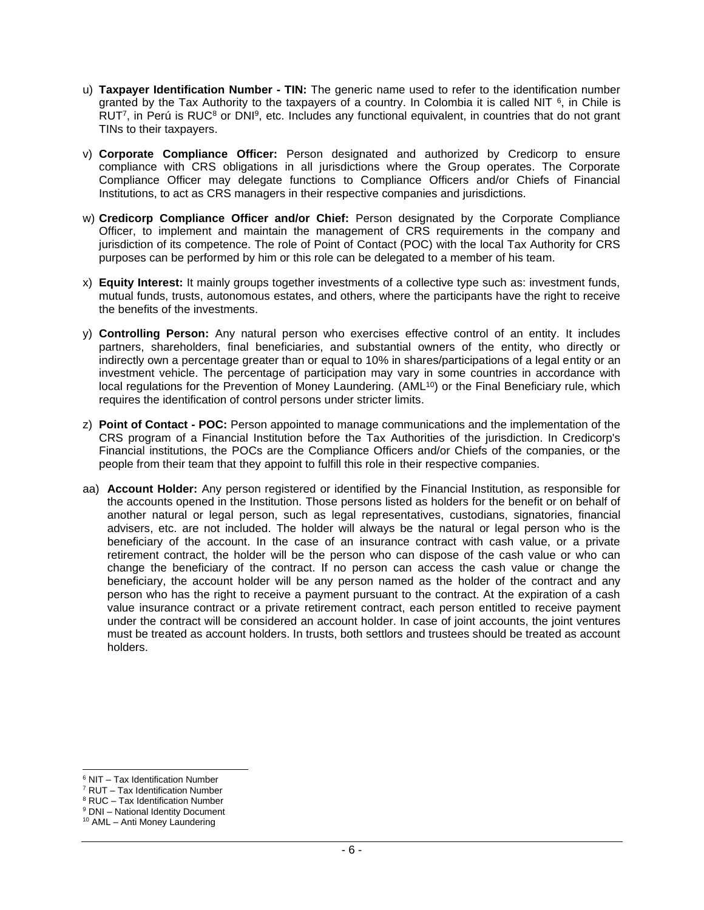- u) **Taxpayer Identification Number - TIN:** The generic name used to refer to the identification number granted by the Tax Authority to the taxpayers of a country. In Colombia it is called NIT  $6$ , in Chile is RUT<sup>7</sup>, in Perú is RUC<sup>8</sup> or DNI<sup>9</sup>, etc. Includes any functional equivalent, in countries that do not grant TINs to their taxpayers.
- v) **Corporate Compliance Officer:** Person designated and authorized by Credicorp to ensure compliance with CRS obligations in all jurisdictions where the Group operates. The Corporate Compliance Officer may delegate functions to Compliance Officers and/or Chiefs of Financial Institutions, to act as CRS managers in their respective companies and jurisdictions.
- w) **Credicorp Compliance Officer and/or Chief:** Person designated by the Corporate Compliance Officer, to implement and maintain the management of CRS requirements in the company and jurisdiction of its competence. The role of Point of Contact (POC) with the local Tax Authority for CRS purposes can be performed by him or this role can be delegated to a member of his team.
- x) **Equity Interest:** It mainly groups together investments of a collective type such as: investment funds, mutual funds, trusts, autonomous estates, and others, where the participants have the right to receive the benefits of the investments.
- y) **Controlling Person:** Any natural person who exercises effective control of an entity. It includes partners, shareholders, final beneficiaries, and substantial owners of the entity, who directly or indirectly own a percentage greater than or equal to 10% in shares/participations of a legal entity or an investment vehicle. The percentage of participation may vary in some countries in accordance with local regulations for the Prevention of Money Laundering. (AML<sup>10</sup>) or the Final Beneficiary rule, which requires the identification of control persons under stricter limits.
- z) **Point of Contact - POC:** Person appointed to manage communications and the implementation of the CRS program of a Financial Institution before the Tax Authorities of the jurisdiction. In Credicorp's Financial institutions, the POCs are the Compliance Officers and/or Chiefs of the companies, or the people from their team that they appoint to fulfill this role in their respective companies.
- aa) **Account Holder:** Any person registered or identified by the Financial Institution, as responsible for the accounts opened in the Institution. Those persons listed as holders for the benefit or on behalf of another natural or legal person, such as legal representatives, custodians, signatories, financial advisers, etc. are not included. The holder will always be the natural or legal person who is the beneficiary of the account. In the case of an insurance contract with cash value, or a private retirement contract, the holder will be the person who can dispose of the cash value or who can change the beneficiary of the contract. If no person can access the cash value or change the beneficiary, the account holder will be any person named as the holder of the contract and any person who has the right to receive a payment pursuant to the contract. At the expiration of a cash value insurance contract or a private retirement contract, each person entitled to receive payment under the contract will be considered an account holder. In case of joint accounts, the joint ventures must be treated as account holders. In trusts, both settlors and trustees should be treated as account holders.

<sup>6</sup> NIT – Tax Identification Number

<sup>7</sup> RUT – Tax Identification Number

<sup>&</sup>lt;sup>8</sup> RUC – Tax Identification Number

<sup>&</sup>lt;sup>9</sup> DNI – National Identity Document

<sup>10</sup> AML – Anti Money Laundering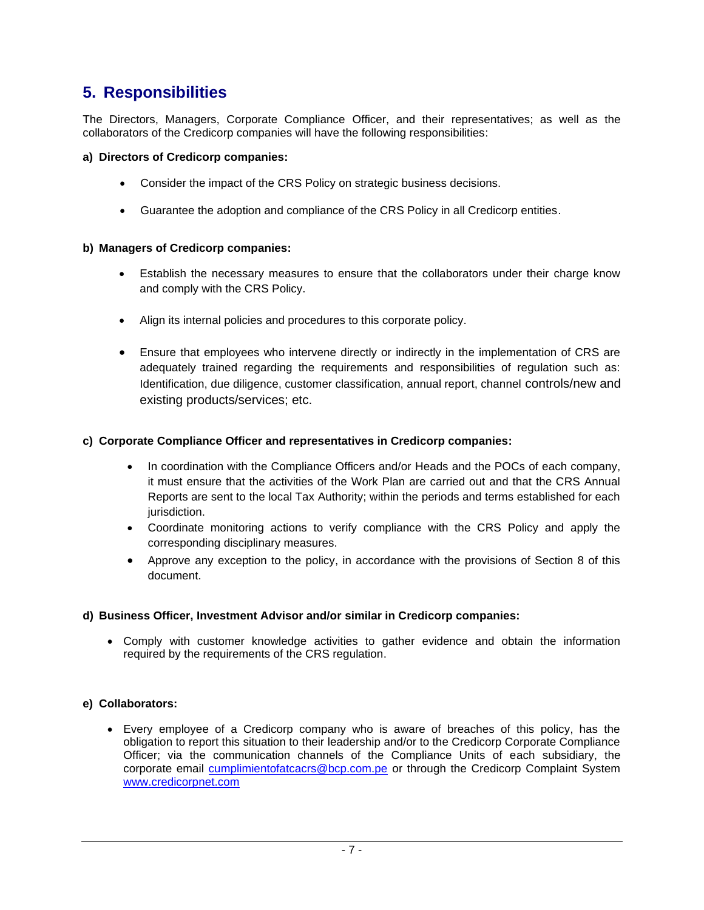# **5. Responsibilities**

The Directors, Managers, Corporate Compliance Officer, and their representatives; as well as the collaborators of the Credicorp companies will have the following responsibilities:

### **a) Directors of Credicorp companies:**

- Consider the impact of the CRS Policy on strategic business decisions.
- Guarantee the adoption and compliance of the CRS Policy in all Credicorp entities.

### **b) Managers of Credicorp companies:**

- Establish the necessary measures to ensure that the collaborators under their charge know and comply with the CRS Policy.
- Align its internal policies and procedures to this corporate policy.
- Ensure that employees who intervene directly or indirectly in the implementation of CRS are adequately trained regarding the requirements and responsibilities of regulation such as: Identification, due diligence, customer classification, annual report, channel controls/new and existing products/services; etc.

### **c) Corporate Compliance Officer and representatives in Credicorp companies:**

- In coordination with the Compliance Officers and/or Heads and the POCs of each company, it must ensure that the activities of the Work Plan are carried out and that the CRS Annual Reports are sent to the local Tax Authority; within the periods and terms established for each jurisdiction.
- Coordinate monitoring actions to verify compliance with the CRS Policy and apply the corresponding disciplinary measures.
- Approve any exception to the policy, in accordance with the provisions of Section 8 of this document.

### **d) Business Officer, Investment Advisor and/or similar in Credicorp companies:**

• Comply with customer knowledge activities to gather evidence and obtain the information required by the requirements of the CRS regulation.

### **e) Collaborators:**

• Every employee of a Credicorp company who is aware of breaches of this policy, has the obligation to report this situation to their leadership and/or to the Credicorp Corporate Compliance Officer; via the communication channels of the Compliance Units of each subsidiary, the corporate email [cumplimientofatcacrs@bcp.com.pe](mailto:cumplimientofatcacrs@bcp.com.pe) or through the Credicorp Complaint System [www.credicorpnet.com](http://www.credicorpnet.com/)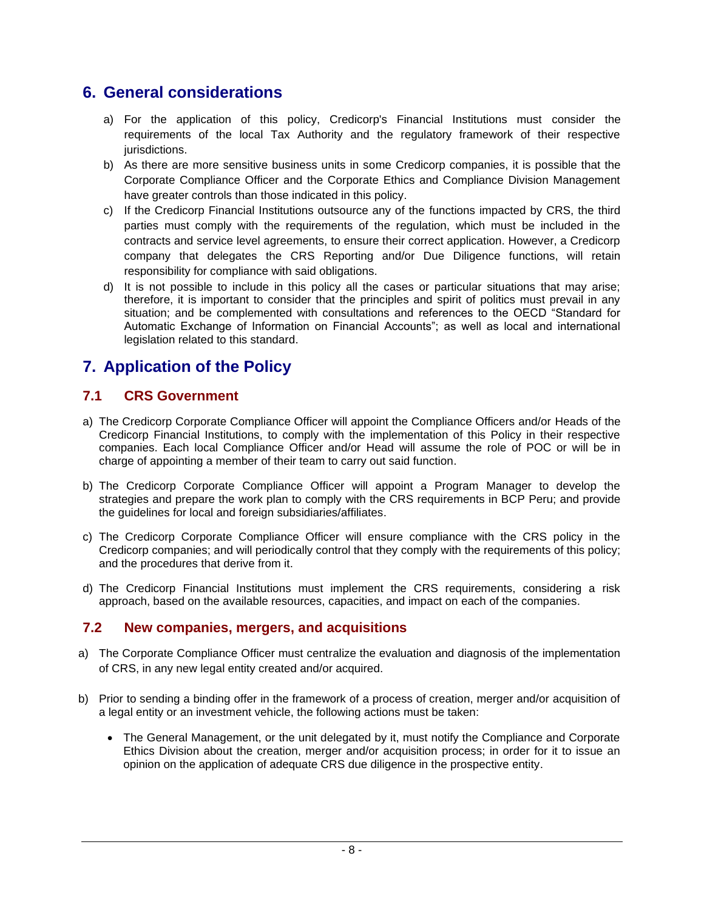# **6. General considerations**

- a) For the application of this policy, Credicorp's Financial Institutions must consider the requirements of the local Tax Authority and the regulatory framework of their respective jurisdictions.
- b) As there are more sensitive business units in some Credicorp companies, it is possible that the Corporate Compliance Officer and the Corporate Ethics and Compliance Division Management have greater controls than those indicated in this policy.
- c) If the Credicorp Financial Institutions outsource any of the functions impacted by CRS, the third parties must comply with the requirements of the regulation, which must be included in the contracts and service level agreements, to ensure their correct application. However, a Credicorp company that delegates the CRS Reporting and/or Due Diligence functions, will retain responsibility for compliance with said obligations.
- d) It is not possible to include in this policy all the cases or particular situations that may arise; therefore, it is important to consider that the principles and spirit of politics must prevail in any situation; and be complemented with consultations and references to the OECD "Standard for Automatic Exchange of Information on Financial Accounts"; as well as local and international legislation related to this standard.

# **7. Application of the Policy**

## **7.1 CRS Government**

- a) The Credicorp Corporate Compliance Officer will appoint the Compliance Officers and/or Heads of the Credicorp Financial Institutions, to comply with the implementation of this Policy in their respective companies. Each local Compliance Officer and/or Head will assume the role of POC or will be in charge of appointing a member of their team to carry out said function.
- b) The Credicorp Corporate Compliance Officer will appoint a Program Manager to develop the strategies and prepare the work plan to comply with the CRS requirements in BCP Peru; and provide the guidelines for local and foreign subsidiaries/affiliates.
- c) The Credicorp Corporate Compliance Officer will ensure compliance with the CRS policy in the Credicorp companies; and will periodically control that they comply with the requirements of this policy; and the procedures that derive from it.
- d) The Credicorp Financial Institutions must implement the CRS requirements, considering a risk approach, based on the available resources, capacities, and impact on each of the companies.

## **7.2 New companies, mergers, and acquisitions**

- a) The Corporate Compliance Officer must centralize the evaluation and diagnosis of the implementation of CRS, in any new legal entity created and/or acquired.
- b) Prior to sending a binding offer in the framework of a process of creation, merger and/or acquisition of a legal entity or an investment vehicle, the following actions must be taken:
	- The General Management, or the unit delegated by it, must notify the Compliance and Corporate Ethics Division about the creation, merger and/or acquisition process; in order for it to issue an opinion on the application of adequate CRS due diligence in the prospective entity.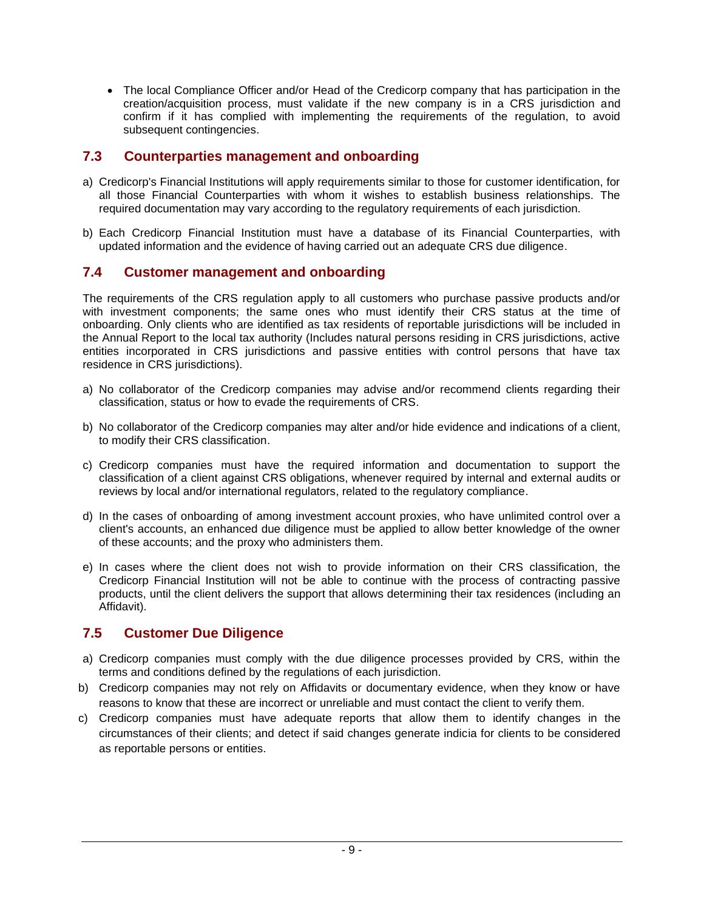• The local Compliance Officer and/or Head of the Credicorp company that has participation in the creation/acquisition process, must validate if the new company is in a CRS jurisdiction and confirm if it has complied with implementing the requirements of the regulation, to avoid subsequent contingencies.

## **7.3 Counterparties management and onboarding**

- a) Credicorp's Financial Institutions will apply requirements similar to those for customer identification, for all those Financial Counterparties with whom it wishes to establish business relationships. The required documentation may vary according to the regulatory requirements of each jurisdiction.
- b) Each Credicorp Financial Institution must have a database of its Financial Counterparties, with updated information and the evidence of having carried out an adequate CRS due diligence.

## **7.4 Customer management and onboarding**

The requirements of the CRS regulation apply to all customers who purchase passive products and/or with investment components; the same ones who must identify their CRS status at the time of onboarding. Only clients who are identified as tax residents of reportable jurisdictions will be included in the Annual Report to the local tax authority (Includes natural persons residing in CRS jurisdictions, active entities incorporated in CRS jurisdictions and passive entities with control persons that have tax residence in CRS jurisdictions).

- a) No collaborator of the Credicorp companies may advise and/or recommend clients regarding their classification, status or how to evade the requirements of CRS.
- b) No collaborator of the Credicorp companies may alter and/or hide evidence and indications of a client, to modify their CRS classification.
- c) Credicorp companies must have the required information and documentation to support the classification of a client against CRS obligations, whenever required by internal and external audits or reviews by local and/or international regulators, related to the regulatory compliance.
- d) In the cases of onboarding of among investment account proxies, who have unlimited control over a client's accounts, an enhanced due diligence must be applied to allow better knowledge of the owner of these accounts; and the proxy who administers them.
- e) In cases where the client does not wish to provide information on their CRS classification, the Credicorp Financial Institution will not be able to continue with the process of contracting passive products, until the client delivers the support that allows determining their tax residences (including an Affidavit).

## **7.5 Customer Due Diligence**

- a) Credicorp companies must comply with the due diligence processes provided by CRS, within the terms and conditions defined by the regulations of each jurisdiction.
- b) Credicorp companies may not rely on Affidavits or documentary evidence, when they know or have reasons to know that these are incorrect or unreliable and must contact the client to verify them.
- c) Credicorp companies must have adequate reports that allow them to identify changes in the circumstances of their clients; and detect if said changes generate indicia for clients to be considered as reportable persons or entities.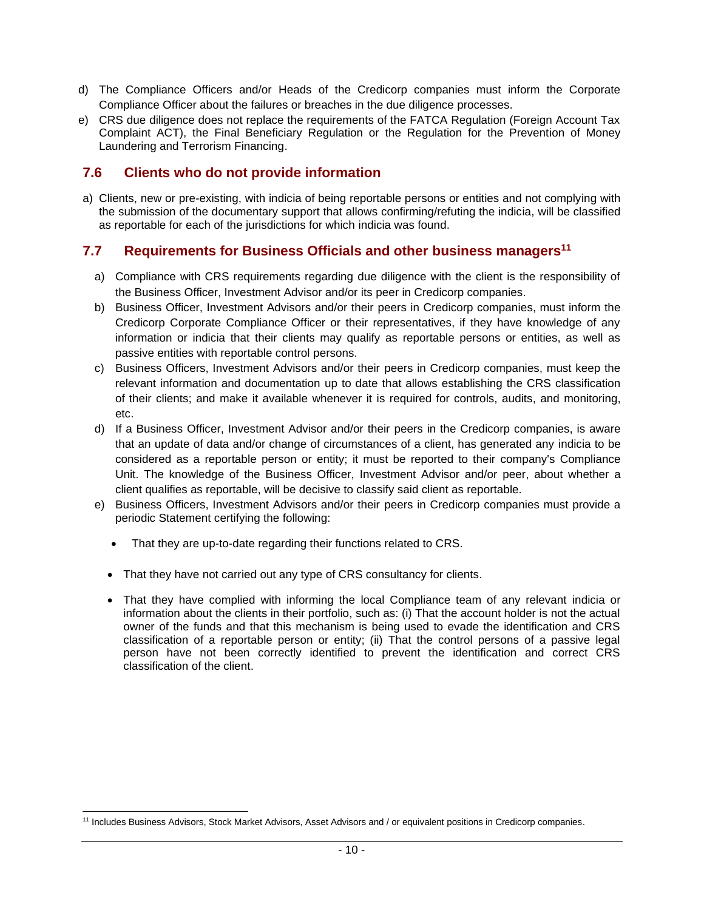- d) The Compliance Officers and/or Heads of the Credicorp companies must inform the Corporate Compliance Officer about the failures or breaches in the due diligence processes.
- e) CRS due diligence does not replace the requirements of the FATCA Regulation (Foreign Account Tax Complaint ACT), the Final Beneficiary Regulation or the Regulation for the Prevention of Money Laundering and Terrorism Financing.

## **7.6 Clients who do not provide information**

a) Clients, new or pre-existing, with indicia of being reportable persons or entities and not complying with the submission of the documentary support that allows confirming/refuting the indicia, will be classified as reportable for each of the jurisdictions for which indicia was found.

## **7.7 Requirements for Business Officials and other business managers<sup>11</sup>**

- a) Compliance with CRS requirements regarding due diligence with the client is the responsibility of the Business Officer, Investment Advisor and/or its peer in Credicorp companies.
- b) Business Officer, Investment Advisors and/or their peers in Credicorp companies, must inform the Credicorp Corporate Compliance Officer or their representatives, if they have knowledge of any information or indicia that their clients may qualify as reportable persons or entities, as well as passive entities with reportable control persons.
- c) Business Officers, Investment Advisors and/or their peers in Credicorp companies, must keep the relevant information and documentation up to date that allows establishing the CRS classification of their clients; and make it available whenever it is required for controls, audits, and monitoring, etc.
- d) If a Business Officer, Investment Advisor and/or their peers in the Credicorp companies, is aware that an update of data and/or change of circumstances of a client, has generated any indicia to be considered as a reportable person or entity; it must be reported to their company's Compliance Unit. The knowledge of the Business Officer, Investment Advisor and/or peer, about whether a client qualifies as reportable, will be decisive to classify said client as reportable.
- e) Business Officers, Investment Advisors and/or their peers in Credicorp companies must provide a periodic Statement certifying the following:
	- That they are up-to-date regarding their functions related to CRS.
	- That they have not carried out any type of CRS consultancy for clients.
	- That they have complied with informing the local Compliance team of any relevant indicia or information about the clients in their portfolio, such as: (i) That the account holder is not the actual owner of the funds and that this mechanism is being used to evade the identification and CRS classification of a reportable person or entity; (ii) That the control persons of a passive legal person have not been correctly identified to prevent the identification and correct CRS classification of the client.

<sup>11</sup> Includes Business Advisors, Stock Market Advisors, Asset Advisors and / or equivalent positions in Credicorp companies.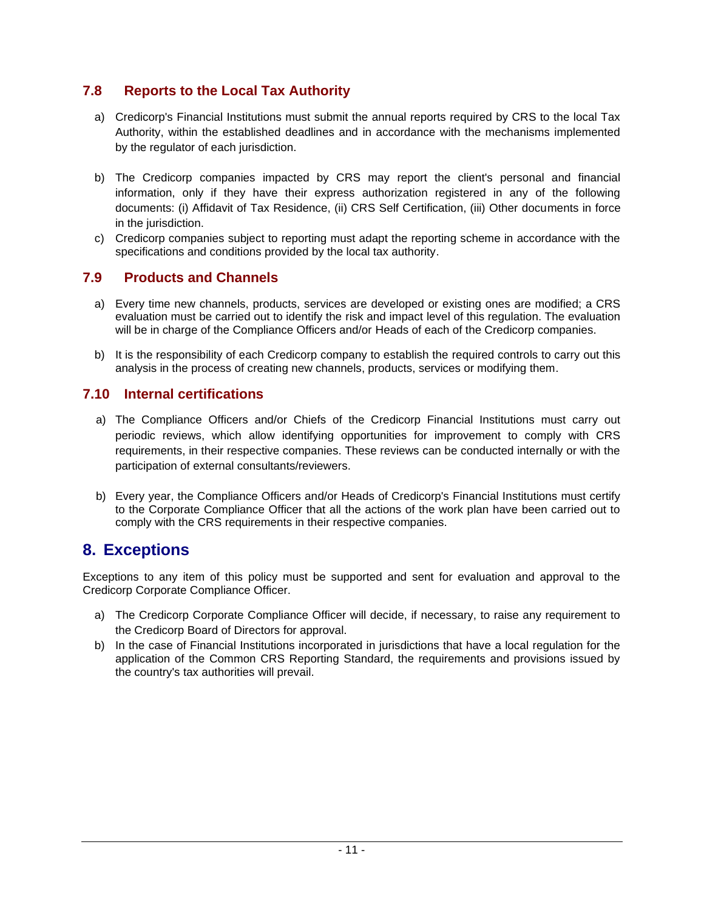## **7.8 Reports to the Local Tax Authority**

- a) Credicorp's Financial Institutions must submit the annual reports required by CRS to the local Tax Authority, within the established deadlines and in accordance with the mechanisms implemented by the regulator of each jurisdiction.
- b) The Credicorp companies impacted by CRS may report the client's personal and financial information, only if they have their express authorization registered in any of the following documents: (i) Affidavit of Tax Residence, (ii) CRS Self Certification, (iii) Other documents in force in the jurisdiction.
- c) Credicorp companies subject to reporting must adapt the reporting scheme in accordance with the specifications and conditions provided by the local tax authority.

## **7.9 Products and Channels**

- a) Every time new channels, products, services are developed or existing ones are modified; a CRS evaluation must be carried out to identify the risk and impact level of this regulation. The evaluation will be in charge of the Compliance Officers and/or Heads of each of the Credicorp companies.
- b) It is the responsibility of each Credicorp company to establish the required controls to carry out this analysis in the process of creating new channels, products, services or modifying them.

## **7.10 Internal certifications**

- a) The Compliance Officers and/or Chiefs of the Credicorp Financial Institutions must carry out periodic reviews, which allow identifying opportunities for improvement to comply with CRS requirements, in their respective companies. These reviews can be conducted internally or with the participation of external consultants/reviewers.
- b) Every year, the Compliance Officers and/or Heads of Credicorp's Financial Institutions must certify to the Corporate Compliance Officer that all the actions of the work plan have been carried out to comply with the CRS requirements in their respective companies.

# **8. Exceptions**

Exceptions to any item of this policy must be supported and sent for evaluation and approval to the Credicorp Corporate Compliance Officer.

- a) The Credicorp Corporate Compliance Officer will decide, if necessary, to raise any requirement to the Credicorp Board of Directors for approval.
- b) In the case of Financial Institutions incorporated in jurisdictions that have a local regulation for the application of the Common CRS Reporting Standard, the requirements and provisions issued by the country's tax authorities will prevail.